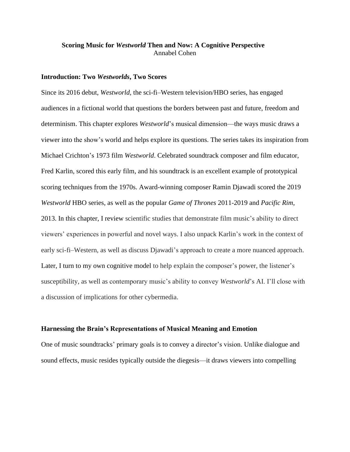# **Scoring Music for** *Westworld* **Then and Now: A Cognitive Perspective** Annabel Cohen

### **Introduction: Two** *Westworlds***, Two Scores**

Since its 2016 debut, *Westworld,* the sci-fi–Western television/HBO series, has engaged audiences in a fictional world that questions the borders between past and future, freedom and determinism. This chapter explores *Westworld*'s musical dimension—the ways music draws a viewer into the show's world and helps explore its questions. The series takes its inspiration from Michael Crichton's 1973 film *Westworld*. Celebrated soundtrack composer and film educator, Fred Karlin, scored this early film, and his soundtrack is an excellent example of prototypical scoring techniques from the 1970s. Award-winning composer Ramin Djawadi scored the 2019 *Westworld* HBO series, as well as the popular *Game of Thrones* 2011-2019 and *Pacific Rim*, 2013. In this chapter, I review scientific studies that demonstrate film music's ability to direct viewers' experiences in powerful and novel ways. I also unpack Karlin's work in the context of early sci-fi–Western, as well as discuss Djawadi's approach to create a more nuanced approach. Later, I turn to my own cognitive model to help explain the composer's power, the listener's susceptibility, as well as contemporary music's ability to convey *Westworld*'s AI. I'll close with a discussion of implications for other cybermedia.

#### **Harnessing the Brain's Representations of Musical Meaning and Emotion**

One of music soundtracks' primary goals is to convey a director's vision. Unlike dialogue and sound effects, music resides typically outside the diegesis—it draws viewers into compelling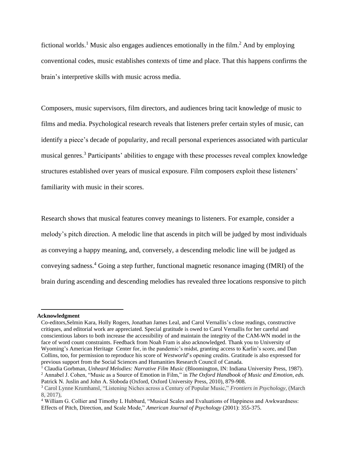fictional worlds.<sup>1</sup> Music also engages audiences emotionally in the film.<sup>2</sup> And by employing conventional codes, music establishes contexts of time and place. That this happens confirms the brain's interpretive skills with music across media.

Composers, music supervisors, film directors, and audiences bring tacit knowledge of music to films and media. Psychological research reveals that listeners prefer certain styles of music, can identify a piece's decade of popularity, and recall personal experiences associated with particular musical genres.<sup>3</sup> Participants' abilities to engage with these processes reveal complex knowledge structures established over years of musical exposure. Film composers exploit these listeners' familiarity with music in their scores.

Research shows that musical features convey meanings to listeners. For example, consider a melody's pitch direction. A melodic line that ascends in pitch will be judged by most individuals as conveying a happy meaning, and, conversely, a descending melodic line will be judged as conveying sadness. <sup>4</sup> Going a step further, functional magnetic resonance imaging (fMRI) of the brain during ascending and descending melodies has revealed three locations responsive to pitch

#### **Acknowledgment**

Co-editors,Selmin Kara, Holly Rogers, Jonathan James Leal, and Carol Vernallis's close readings, constructive critiques, and editorial work are appreciated. Special gratitude is owed to Carol Vernallis for her careful and conscientious labors to both increase the accessibility of and maintain the integrity of the CAM-WN model in the face of word count constraints. Feedback from Noah Fram is also acknowledged. Thank you to University of Wyoming's American Heritage Center for, in the pandemic's midst, granting access to Karlin's score, and Dan Collins, too, for permission to reproduce his score of *Westworld*'s opening credits. Gratitude is also expressed for previous support from the Social Sciences and Humanities Research Council of Canada.

<sup>1</sup> Claudia Gorbman, *Unheard Melodies: Narrative Film Music* (Bloomington, IN: Indiana University Press, 1987). <sup>2</sup> Annabel J. Cohen, "Music as a Source of Emotion in Film," in *The Oxford Handbook of Music and Emotion, eds.*  Patrick N. Juslin and John A. Sloboda (Oxford, Oxford University Press, 2010), 879-908.

<sup>3</sup> Carol Lynne Krumhansl, "Listening Niches across a Century of Popular Music," *Frontiers in Psychology*, (March 8, 2017),

<sup>&</sup>lt;sup>4</sup> William G. Collier and Timothy L Hubbard, "Musical Scales and Evaluations of Happiness and Awkwardness: Effects of Pitch, Direction, and Scale Mode," *American Journal of Psychology* (2001): 355-375.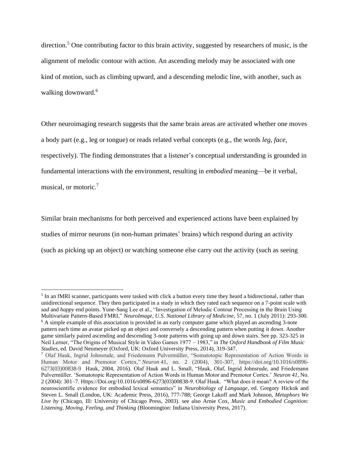direction.<sup>5</sup> One contributing factor to this brain activity, suggested by researchers of music, is the alignment of melodic contour with action. An ascending melody may be associated with one kind of motion, such as climbing upward, and a descending melodic line, with another, such as walking downward.<sup>6</sup>

Other neuroimaging research suggests that the same brain areas are activated whether one moves a body part (e.g., leg or tongue) or reads related verbal concepts (e.g., the words *leg, face*, respectively). The finding demonstrates that a listener's conceptual understanding is grounded in fundamental interactions with the environment, resulting in *embodied* meaning—be it verbal, musical, or motoric. 7

Similar brain mechanisms for both perceived and experienced actions have been explained by studies of mirror neurons (in non-human primates' brains) which respond during an activity (such as picking up an object) or watching someone else carry out the activity (such as seeing

<sup>&</sup>lt;sup>5</sup> In an fMRI scanner, participants were tasked with click a button every time they heard a bidirectional, rather than unidirectional sequence. They then participated in a study in which they rated each sequence on a 7-point scale with *sad* and *happy* end points. Yune-Sang Lee et al., "Investigation of Melodic Contour Processing in the Brain Using Multivariate Pattern-Based FMRI," *NeuroImage, U.S. National Library of Medicine,* 57, no. 1 (July 2011): 293-300.

<sup>&</sup>lt;sup>6</sup> A simple example of this association is provided in an early computer game which played an ascending 3-note pattern each time an avatar picked up an object and conversely a descending pattern when putting it down. Another game similarly paired ascending and descending 3-note patterns with going up and down stairs. See pp. 323-325 in Neil Lerner, "The Origins of Musical Style in Video Games 1977 – 1983," in *The Oxford Handbook of Film Music Studies*, ed. David Neumeyer (Oxford, UK: Oxford University Press, 2014), 319-347.

<sup>7</sup> Olaf Hauk, Ingrid Johnsrude, and Friedemann Pulvermüller, "Somatotopic Representation of Action Words in Human Motor and Premotor Cortex," *Neuron* 41, no. 2 (2004), 301-307, https://doi.org/10.1016/s0896- 6273(03)00838-9 Hauk, 2004, 2016). Olaf Hauk and L. Small, "Hauk, Olaf, Ingrid Johnsrude, and Friedemann Pulvermüller. 'Somatotopic Representation of Action Words in Human Motor and Premotor Cortex.' *Neuron 41*, No. 2 (2004): 301–7. Https://Doi.org/10.1016/s0896-6273(03)00838-9. Olaf Hauk. "What does it mean? A review of the neuroscientific evidence for embodied lexical semantics" in *Neurobiology of Language*, ed. Gregory Hickok and Steven L. Small (London, UK: Academic Press, 2016), 777-788; George Lakoff and Mark Johnson, *Metaphors We Live by* (Chicago, Ill: University of Chicago Press, 2003). see also Arnie Cox, *Music and Embodied Cognition: Listening, Moving, Feeling, and Thinking* (Bloomington: Indiana University Press, 2017).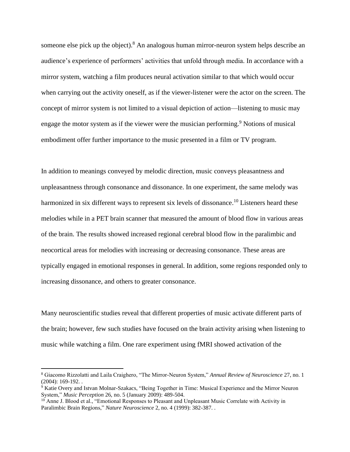someone else pick up the object). <sup>8</sup> An analogous human mirror-neuron system helps describe an audience's experience of performers' activities that unfold through media. In accordance with a mirror system, watching a film produces neural activation similar to that which would occur when carrying out the activity oneself, as if the viewer-listener were the actor on the screen. The concept of mirror system is not limited to a visual depiction of action—listening to music may engage the motor system as if the viewer were the musician performing.<sup>9</sup> Notions of musical embodiment offer further importance to the music presented in a film or TV program.

In addition to meanings conveyed by melodic direction, music conveys pleasantness and unpleasantness through consonance and dissonance. In one experiment, the same melody was harmonized in six different ways to represent six levels of dissonance.<sup>10</sup> Listeners heard these melodies while in a PET brain scanner that measured the amount of blood flow in various areas of the brain. The results showed increased regional cerebral blood flow in the paralimbic and neocortical areas for melodies with increasing or decreasing consonance. These areas are typically engaged in emotional responses in general. In addition, some regions responded only to increasing dissonance, and others to greater consonance.

Many neuroscientific studies reveal that different properties of music activate different parts of the brain; however, few such studies have focused on the brain activity arising when listening to music while watching a film. One rare experiment using fMRI showed activation of the

<sup>8</sup> Giacomo Rizzolatti and Laila Craighero, "The Mirror-Neuron System," *Annual Review of Neuroscience* 27, no. 1 (2004): 169-192. .

<sup>&</sup>lt;sup>9</sup> Katie Overy and Istvan Molnar-Szakacs, "Being Together in Time: Musical Experience and the Mirror Neuron System," *Music Perception* 26, no. 5 (January 2009): 489-504.

<sup>&</sup>lt;sup>10</sup> Anne J. Blood et al., "Emotional Responses to Pleasant and Unpleasant Music Correlate with Activity in Paralimbic Brain Regions," *Nature Neuroscience* 2, no. 4 (1999): 382-387. .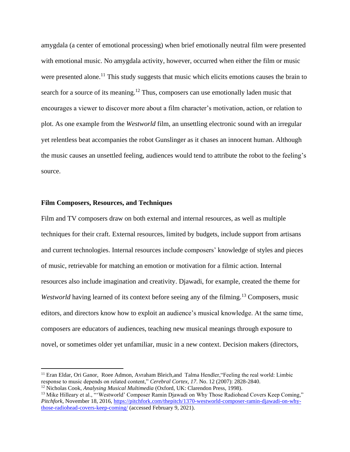amygdala (a center of emotional processing) when brief emotionally neutral film were presented with emotional music. No amygdala activity, however, occurred when either the film or music were presented alone.<sup>11</sup> This study suggests that music which elicits emotions causes the brain to search for a source of its meaning.<sup>12</sup> Thus, composers can use emotionally laden music that encourages a viewer to discover more about a film character's motivation, action, or relation to plot. As one example from the *Westworld* film, an unsettling electronic sound with an irregular yet relentless beat accompanies the robot Gunslinger as it chases an innocent human. Although the music causes an unsettled feeling, audiences would tend to attribute the robot to the feeling's source.

## **Film Composers, Resources, and Techniques**

Film and TV composers draw on both external and internal resources, as well as multiple techniques for their craft. External resources, limited by budgets, include support from artisans and current technologies. Internal resources include composers' knowledge of styles and pieces of music, retrievable for matching an emotion or motivation for a filmic action. Internal resources also include imagination and creativity. Djawadi, for example, created the theme for Westworld having learned of its context before seeing any of the filming.<sup>13</sup> Composers, music editors, and directors know how to exploit an audience's musical knowledge. At the same time, composers are educators of audiences, teaching new musical meanings through exposure to novel, or sometimes older yet unfamiliar, music in a new context. Decision makers (directors,

<sup>&</sup>lt;sup>11</sup> Eran Eldar, Ori Ganor, Roee Admon, Avraham Bleich, and Talma Hendler, "Feeling the real world: Limbic response to music depends on related content," *Cerebral Cortex, 17*. No. 12 (2007): 2828-2840.

<sup>12</sup> Nicholas Cook, *Analysing Musical Multimedia* (Oxford, UK: Clarendon Press, 1998).

<sup>&</sup>lt;sup>13</sup> Mike Hilleary et al., "'Westworld' Composer Ramin Djawadi on Why Those Radiohead Covers Keep Coming," *Pitchfork*, November 18, 2016, [https://pitchfork.com/thepitch/1370-westworld-composer-ramin-djawadi-on-why](https://pitchfork.com/thepitch/1370-westworld-composer-ramin-djawadi-on-why-those-radiohead-covers-keep-coming/)[those-radiohead-covers-keep-coming/](https://pitchfork.com/thepitch/1370-westworld-composer-ramin-djawadi-on-why-those-radiohead-covers-keep-coming/) (accessed February 9, 2021).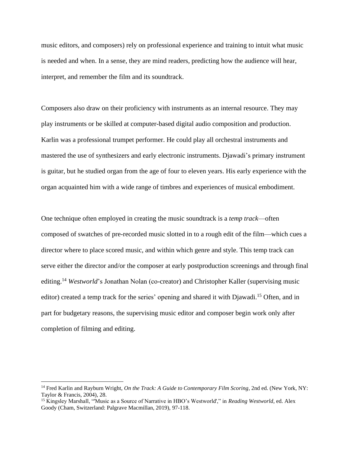music editors, and composers) rely on professional experience and training to intuit what music is needed and when. In a sense, they are mind readers, predicting how the audience will hear, interpret, and remember the film and its soundtrack.

Composers also draw on their proficiency with instruments as an internal resource. They may play instruments or be skilled at computer-based digital audio composition and production. Karlin was a professional trumpet performer. He could play all orchestral instruments and mastered the use of synthesizers and early electronic instruments. Djawadi's primary instrument is guitar, but he studied organ from the age of four to eleven years. His early experience with the organ acquainted him with a wide range of timbres and experiences of musical embodiment.

One technique often employed in creating the music soundtrack is a *temp track*—often composed of swatches of pre-recorded music slotted in to a rough edit of the film—which cues a director where to place scored music, and within which genre and style. This temp track can serve either the director and/or the composer at early postproduction screenings and through final editing.<sup>14</sup> Westworld's Jonathan Nolan (co-creator) and Christopher Kaller (supervising music editor) created a temp track for the series' opening and shared it with Djawadi.<sup>15</sup> Often, and in part for budgetary reasons, the supervising music editor and composer begin work only after completion of filming and editing.

<sup>&</sup>lt;sup>14</sup> Fred Karlin and Rayburn Wright, *On the Track: A Guide to Contemporary Film Scoring*, 2nd ed. (New York, NY: Taylor & Francis, 2004), 28.

<sup>&</sup>lt;sup>15</sup> Kingsley Marshall, "'Music as a Source of Narrative in HBO's Westworld'," in *Reading Westworld*, ed. Alex Goody (Cham, Switzerland: Palgrave Macmillan, 2019), 97-118.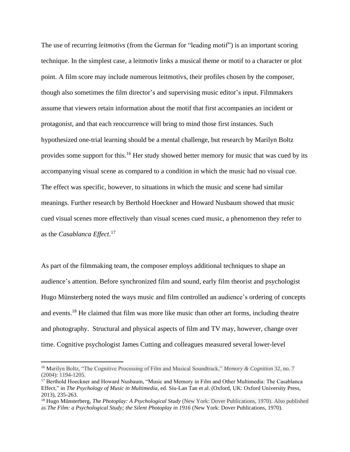The use of recurring *leitmotivs* (from the German for "leading motif") is an important scoring technique. In the simplest case, a leitmotiv links a musical theme or motif to a character or plot point. A film score may include numerous leitmotivs, their profiles chosen by the composer, though also sometimes the film director's and supervising music editor's input. Filmmakers assume that viewers retain information about the motif that first accompanies an incident or protagonist, and that each reoccurrence will bring to mind those first instances. Such hypothesized one-trial learning should be a mental challenge, but research by Marilyn Boltz provides some support for this.<sup>16</sup> Her study showed better memory for music that was cued by its accompanying visual scene as compared to a condition in which the music had no visual cue. The effect was specific, however, to situations in which the music and scene had similar meanings. Further research by Berthold Hoeckner and Howard Nusbaum showed that music cued visual scenes more effectively than visual scenes cued music, a phenomenon they refer to as the *Casablanca Effect*. 17

As part of the filmmaking team, the composer employs additional techniques to shape an audience's attention. Before synchronized film and sound, early film theorist and psychologist Hugo Münsterberg noted the ways music and film controlled an audience's ordering of concepts and events.<sup>18</sup> He claimed that film was more like music than other art forms, including theatre and photography. Structural and physical aspects of film and TV may, however, change over time. Cognitive psychologist James Cutting and colleagues measured several lower-level

<sup>16</sup> Marilyn Boltz, "The Cognitive Processing of Film and Musical Soundtrack," *Memory & Cognition* 32, no. 7 (2004): 1194-1205.

<sup>&</sup>lt;sup>17</sup> Berthold Hoeckner and Howard Nusbaum, "Music and Memory in Film and Other Multimedia: The Casablanca Effect," in *The Psychology of Music in Multimedia*, ed. Siu-Lan Tan et al. (Oxford, UK: Oxford University Press, 2013), 235-263.

<sup>18</sup> Hugo Münsterberg, *The Photoplay: A Psychological Study* (New York: Dover Publications, 1970). Also published as *The Film: a Psychological Study; the Silent Photoplay in 1916* (New York: Dover Publications, 1970).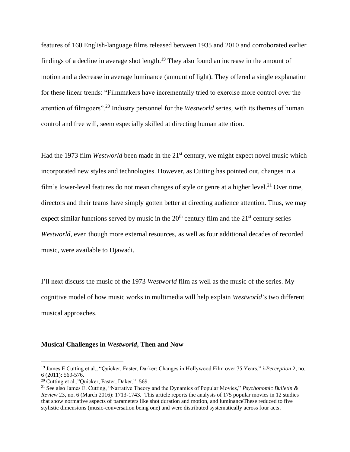features of 160 English-language films released between 1935 and 2010 and corroborated earlier findings of a decline in average shot length.<sup>19</sup> They also found an increase in the amount of motion and a decrease in average luminance (amount of light). They offered a single explanation for these linear trends: "Filmmakers have incrementally tried to exercise more control over the attention of filmgoers".<sup>20</sup> Industry personnel for the *Westworld* series*,* with its themes of human control and free will, seem especially skilled at directing human attention.

Had the 1973 film *Westworld* been made in the 21<sup>st</sup> century, we might expect novel music which incorporated new styles and technologies. However, as Cutting has pointed out, changes in a film's lower-level features do not mean changes of style or genre at a higher level.<sup>21</sup> Over time, directors and their teams have simply gotten better at directing audience attention. Thus, we may expect similar functions served by music in the  $20<sup>th</sup>$  century film and the  $21<sup>st</sup>$  century series *Westworld*, even though more external resources, as well as four additional decades of recorded music, were available to Djawadi.

I'll next discuss the music of the 1973 *Westworld* film as well as the music of the series. My cognitive model of how music works in multimedia will help explain *Westworld*'s two different musical approaches.

#### **Musical Challenges in** *Westworld***, Then and Now**

<sup>19</sup> James E Cutting et al., "Quicker, Faster, Darker: Changes in Hollywood Film over 75 Years," *i-Perception* 2, no. 6 (2011): 569-576.

<sup>20</sup> Cutting et al.,"Quicker, Faster, Daker," 569.

<sup>21</sup> See also James E. Cutting, "Narrative Theory and the Dynamics of Popular Movies," *Psychonomic Bulletin & Review* 23, no. 6 (March 2016): 1713-1743. This article reports the analysis of 175 popular movies in 12 studies that show normative aspects of parameters like shot duration and motion, and luminanceThese reduced to five stylistic dimensions (music-conversation being one) and were distributed systematically across four acts.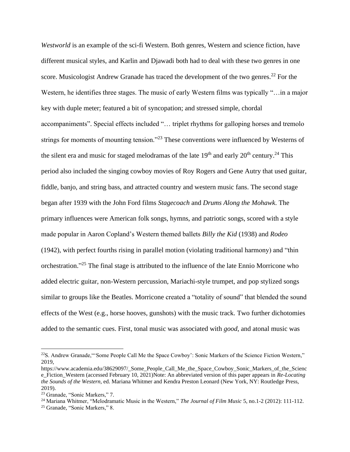*Westworld* is an example of the sci-fi Western. Both genres, Western and science fiction, have different musical styles, and Karlin and Djawadi both had to deal with these two genres in one score. Musicologist Andrew Granade has traced the development of the two genres.<sup>22</sup> For the Western, he identifies three stages. The music of early Western films was typically "…in a major key with duple meter; featured a bit of syncopation; and stressed simple, chordal accompaniments". Special effects included "… triplet rhythms for galloping horses and tremolo strings for moments of mounting tension."<sup>23</sup> These conventions were influenced by Westerns of the silent era and music for staged melodramas of the late  $19<sup>th</sup>$  and early  $20<sup>th</sup>$  century.<sup>24</sup> This period also included the singing cowboy movies of Roy Rogers and Gene Autry that used guitar, fiddle, banjo, and string bass, and attracted country and western music fans. The second stage began after 1939 with the John Ford films *Stagecoach* and *Drums Along the Mohawk*. The primary influences were American folk songs, hymns, and patriotic songs, scored with a style made popular in Aaron Copland's Western themed ballets *Billy the Kid* (1938) and *Rodeo* (1942), with perfect fourths rising in parallel motion (violating traditional harmony) and "thin orchestration."<sup>25</sup> The final stage is attributed to the influence of the late Ennio Morricone who added electric guitar, non-Western percussion, Mariachi-style trumpet, and pop stylized songs similar to groups like the Beatles. Morricone created a "totality of sound" that blended the sound effects of the West (e.g., horse hooves, gunshots) with the music track. Two further dichotomies added to the semantic cues. First, tonal music was associated with *good*, and atonal music was

<sup>&</sup>lt;sup>22</sup>S. Andrew Granade, "Some People Call Me the Space Cowboy': Sonic Markers of the Science Fiction Western," 2019,

https://www.academia.edu/38629097/\_Some\_People\_Call\_Me\_the\_Space\_Cowboy\_Sonic\_Markers\_of\_the\_Scienc e\_Fiction\_Western (accessed February 10, 2021)Note: An abbreviated version of this paper appears in *Re-Locating the Sounds of the Western*, ed. Mariana Whitmer and Kendra Preston Leonard (New York, NY: Routledge Press, 2019).

<sup>23</sup> Granade, "Sonic Markers," 7.

<sup>24</sup> Mariana Whitmer, "Melodramatic Music in the Western," *The Journal of Film Music* 5, no.1-2 (2012): 111-112.

<sup>25</sup> Granade, "Sonic Markers," 8.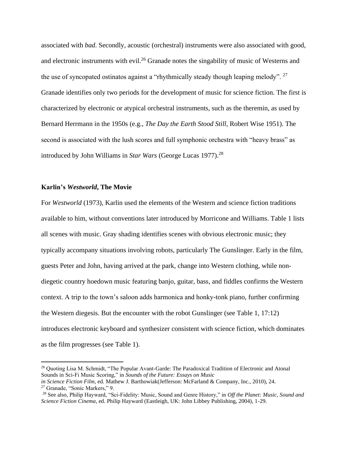associated with *bad*. Secondly, acoustic (orchestral) instruments were also associated with good, and electronic instruments with evil.<sup>26</sup> Granade notes the singability of music of Westerns and the use of syncopated ostinatos against a "rhythmically steady though leaping melody". <sup>27</sup> Granade identifies only two periods for the development of music for science fiction. The first is characterized by electronic or atypical orchestral instruments, such as the theremin, as used by Bernard Herrmann in the 1950s (e.g., *The Day the Earth Stood Still*, Robert Wise 1951). The second is associated with the lush scores and full symphonic orchestra with "heavy brass" as introduced by John Williams in *Star Wars* (George Lucas 1977). 28

## **Karlin's** *Westworld***, The Movie**

For *Westworld* (1973), Karlin used the elements of the Western and science fiction traditions available to him, without conventions later introduced by Morricone and Williams. Table 1 lists all scenes with music. Gray shading identifies scenes with obvious electronic music; they typically accompany situations involving robots, particularly The Gunslinger. Early in the film, guests Peter and John, having arrived at the park, change into Western clothing, while nondiegetic country hoedown music featuring banjo, guitar, bass, and fiddles confirms the Western context. A trip to the town's saloon adds harmonica and honky-tonk piano, further confirming the Western diegesis. But the encounter with the robot Gunslinger (see Table 1, 17:12) introduces electronic keyboard and synthesizer consistent with science fiction, which dominates as the film progresses (see Table 1).

<sup>&</sup>lt;sup>26</sup> Quoting Lisa M. Schmidt, "The Popular Avant-Garde: The Paradoxical Tradition of Electronic and Atonal Sounds in Sci-Fi Music Scoring," in *Sounds of the Future: Essays on Music*

*in Science Fiction Film,* ed*.* Mathew J. Barthowiak(Jefferson: McFarland & Company, Inc., 2010), 24.

<sup>27</sup> Granade, "Sonic Markers," 9.

<sup>28</sup> See also, Philip Hayward, "Sci-Fidelity: Music, Sound and Genre History," in *Off the Planet: Music, Sound and Science Fiction Cinema*, ed. Philip Hayward (Eastleigh, UK: John Libbey Publishing, 2004), 1-29.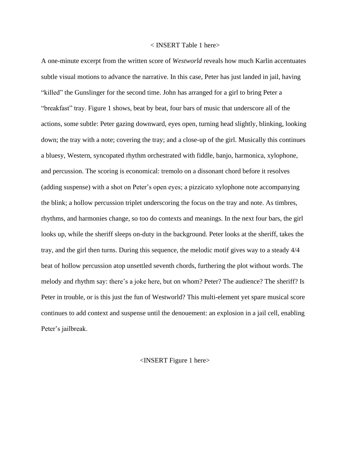### < INSERT Table 1 here>

A one-minute excerpt from the written score of *Westworld* reveals how much Karlin accentuates subtle visual motions to advance the narrative. In this case, Peter has just landed in jail, having "killed" the Gunslinger for the second time. John has arranged for a girl to bring Peter a "breakfast" tray. Figure 1 shows, beat by beat, four bars of music that underscore all of the actions, some subtle: Peter gazing downward, eyes open, turning head slightly, blinking, looking down; the tray with a note; covering the tray; and a close-up of the girl. Musically this continues a bluesy, Western, syncopated rhythm orchestrated with fiddle, banjo, harmonica, xylophone, and percussion. The scoring is economical: tremolo on a dissonant chord before it resolves (adding suspense) with a shot on Peter's open eyes; a pizzicato xylophone note accompanying the blink; a hollow percussion triplet underscoring the focus on the tray and note. As timbres, rhythms, and harmonies change, so too do contexts and meanings. In the next four bars, the girl looks up, while the sheriff sleeps on-duty in the background. Peter looks at the sheriff, takes the tray, and the girl then turns. During this sequence, the melodic motif gives way to a steady 4/4 beat of hollow percussion atop unsettled seventh chords, furthering the plot without words. The melody and rhythm say: there's a joke here, but on whom? Peter? The audience? The sheriff? Is Peter in trouble, or is this just the fun of Westworld? This multi-element yet spare musical score continues to add context and suspense until the denouement: an explosion in a jail cell, enabling Peter's jailbreak.

#### <INSERT Figure 1 here>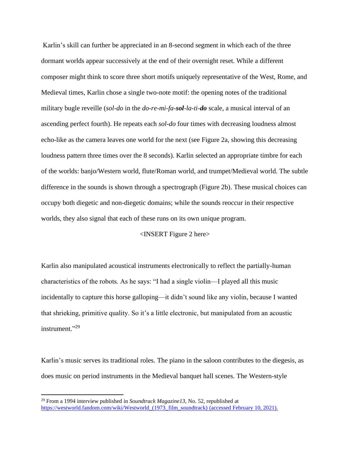Karlin's skill can further be appreciated in an 8-second segment in which each of the three dormant worlds appear successively at the end of their overnight reset. While a different composer might think to score three short motifs uniquely representative of the West, Rome, and Medieval times, Karlin chose a single two-note motif: the opening notes of the traditional military bugle reveille (*sol-do* in the *do-re-mi-fa-sol-la-ti-do* scale, a musical interval of an ascending perfect fourth). He repeats each *sol-do* four times with decreasing loudness almost echo-like as the camera leaves one world for the next (see Figure 2a, showing this decreasing loudness pattern three times over the 8 seconds). Karlin selected an appropriate timbre for each of the worlds: banjo/Western world, flute/Roman world, and trumpet/Medieval world. The subtle difference in the sounds is shown through a spectrograph (Figure 2b). These musical choices can occupy both diegetic and non-diegetic domains; while the sounds reoccur in their respective worlds, they also signal that each of these runs on its own unique program.

# <INSERT Figure 2 here>

Karlin also manipulated acoustical instruments electronically to reflect the partially-human characteristics of the robots. As he says: "I had a single violin—I played all this music incidentally to capture this horse galloping—it didn't sound like any violin, because I wanted that shrieking, primitive quality. So it's a little electronic, but manipulated from an acoustic instrument."<sup>29</sup>

Karlin's music serves its traditional roles. The piano in the saloon contributes to the diegesis, as does music on period instruments in the Medieval banquet hall scenes. The Western-style

<sup>29</sup> From a 1994 interview published in *Soundtrack Magazine13*, No. 52, republished at https://westworld.fandom.com/wiki/Westworld (1973 film soundtrack) (accessed February 10, 2021).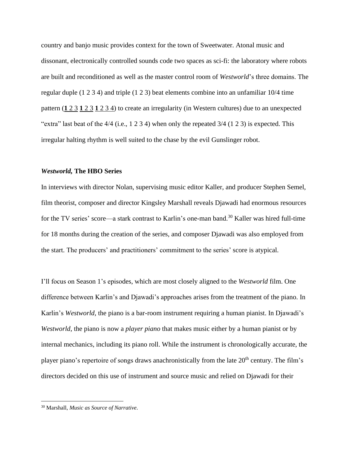country and banjo music provides context for the town of Sweetwater. Atonal music and dissonant, electronically controlled sounds code two spaces as sci-fi: the laboratory where robots are built and reconditioned as well as the master control room of *Westworld*'s three domains. The regular duple (1 2 3 4) and triple (1 2 3) beat elements combine into an unfamiliar 10/4 time pattern (**1** 2 3 **1** 2 3 **1** 2 3 4) to create an irregularity (in Western cultures) due to an unexpected "extra" last beat of the 4/4 (i.e., 1 2 3 4) when only the repeated 3/4 (1 2 3) is expected. This irregular halting rhythm is well suited to the chase by the evil Gunslinger robot.

## *Westworld,* **The HBO Series**

In interviews with director Nolan, supervising music editor Kaller, and producer Stephen Semel, film theorist, composer and director Kingsley Marshall reveals Djawadi had enormous resources for the TV series' score—a stark contrast to Karlin's one-man band.<sup>30</sup> Kaller was hired full-time for 18 months during the creation of the series, and composer Djawadi was also employed from the start. The producers' and practitioners' commitment to the series' score is atypical.

I'll focus on Season 1's episodes, which are most closely aligned to the *Westworld* film. One difference between Karlin's and Djawadi's approaches arises from the treatment of the piano. In Karlin's *Westworld*, the piano is a bar-room instrument requiring a human pianist. In Djawadi's *Westworld*, the piano is now a *player piano* that makes music either by a human pianist or by internal mechanics, including its piano roll. While the instrument is chronologically accurate, the player piano's repertoire of songs draws anachronistically from the late 20<sup>th</sup> century. The film's directors decided on this use of instrument and source music and relied on Djawadi for their

<sup>30</sup> Marshall, *Music as Source of Narrative.*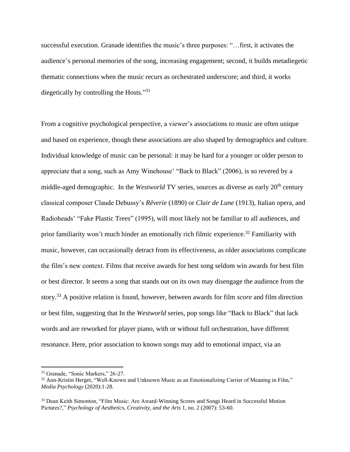successful execution. Granade identifies the music's three purposes: "…first, it activates the audience's personal memories of the song, increasing engagement; second, it builds metadiegetic thematic connections when the music recurs as orchestrated underscore; and third, it works diegetically by controlling the Hosts."<sup>31</sup>

From a cognitive psychological perspective, a viewer's associations to music are often unique and based on experience, though these associations are also shaped by demographics and culture. Individual knowledge of music can be personal: it may be hard for a younger or older person to appreciate that a song, such as Amy Winehouse' "Back to Black" (2006), is so revered by a middle-aged demographic. In the *Westworld* TV series, sources as diverse as early 20<sup>th</sup> century classical composer Claude Debussy's *Rêverie* (1890) or *Clair de Lune* (1913), Italian opera, and Radioheads' "Fake Plastic Trees" (1995), will most likely not be familiar to all audiences, and prior familiarity won't much hinder an emotionally rich filmic experience.<sup>32</sup> Familiarity with music, however, can occasionally detract from its effectiveness, as older associations complicate the film's new context. Films that receive awards for best song seldom win awards for best film or best director. It seems a song that stands out on its own may disengage the audience from the story.<sup>33</sup> A positive relation is found, however, between awards for film *score* and film direction or best film, suggesting that In the *Westworld* series, pop songs like "Back to Black" that lack words and are reworked for player piano, with or without full orchestration, have different resonance. Here, prior association to known songs may add to emotional impact, via an

<sup>31</sup> Granade, "Sonic Markers," 26-27.

<sup>&</sup>lt;sup>32</sup> Ann-Kristin Herget, "Well-Known and Unknown Music as an Emotionalizing Carrier of Meaning in Film," *Media Psychology* (2020):1-28.

<sup>&</sup>lt;sup>33</sup> Dean Keith Simonton, "Film Music: Are Award-Winning Scores and Songs Heard in Successful Motion Pictures?," *Psychology of Aesthetics, Creativity, and the Arts* 1, no. 2 (2007): 53-60.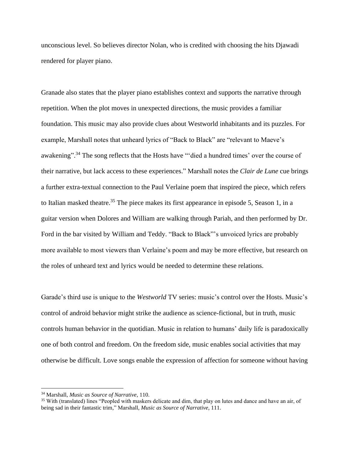unconscious level. So believes director Nolan, who is credited with choosing the hits Djawadi rendered for player piano.

Granade also states that the player piano establishes context and supports the narrative through repetition. When the plot moves in unexpected directions, the music provides a familiar foundation. This music may also provide clues about Westworld inhabitants and its puzzles. For example, Marshall notes that unheard lyrics of "Back to Black" are "relevant to Maeve's awakening".<sup>34</sup> The song reflects that the Hosts have ""died a hundred times' over the course of their narrative, but lack access to these experiences." Marshall notes the *Clair de Lune* cue brings a further extra-textual connection to the Paul Verlaine poem that inspired the piece, which refers to Italian masked theatre.<sup>35</sup> The piece makes its first appearance in episode 5, Season 1, in a guitar version when Dolores and William are walking through Pariah, and then performed by Dr. Ford in the bar visited by William and Teddy. "Back to Black"'s unvoiced lyrics are probably more available to most viewers than Verlaine's poem and may be more effective, but research on the roles of unheard text and lyrics would be needed to determine these relations.

Garade's third use is unique to the *Westworld* TV series: music's control over the Hosts. Music's control of android behavior might strike the audience as science-fictional, but in truth, music controls human behavior in the quotidian. Music in relation to humans' daily life is paradoxically one of both control and freedom. On the freedom side, music enables social activities that may otherwise be difficult. Love songs enable the expression of affection for someone without having

<sup>34</sup> Marshall, *Music as Source of Narrative,* 110.

<sup>&</sup>lt;sup>35</sup> With (translated) lines "Peopled with maskers delicate and dim, that play on lutes and dance and have an air, of being sad in their fantastic trim," Marshall*, Music as Source of Narrative*, 111.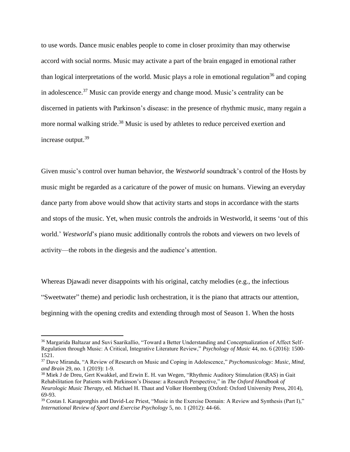to use words. Dance music enables people to come in closer proximity than may otherwise accord with social norms. Music may activate a part of the brain engaged in emotional rather than logical interpretations of the world. Music plays a role in emotional regulation<sup>36</sup> and coping in adolescence.<sup>37</sup> Music can provide energy and change mood. Music's centrality can be discerned in patients with Parkinson's disease: in the presence of rhythmic music, many regain a more normal walking stride.<sup>38</sup> Music is used by athletes to reduce perceived exertion and increase output. 39

Given music's control over human behavior, the *Westworld* soundtrack's control of the Hosts by music might be regarded as a caricature of the power of music on humans. Viewing an everyday dance party from above would show that activity starts and stops in accordance with the starts and stops of the music. Yet, when music controls the androids in Westworld, it seems 'out of this world.' *Westworld*'s piano music additionally controls the robots and viewers on two levels of activity—the robots in the diegesis and the audience's attention.

Whereas Djawadi never disappoints with his original, catchy melodies (e.g., the infectious "Sweetwater" theme) and periodic lush orchestration, it is the piano that attracts our attention, beginning with the opening credits and extending through most of Season 1. When the hosts

<sup>36</sup> Margarida Baltazar and Suvi Saarikallio, "Toward a Better Understanding and Conceptualization of Affect Self-Regulation through Music: A Critical, Integrative Literature Review," *Psychology of Music* 44, no. 6 (2016): 1500- 1521.

<sup>37</sup> Dave Miranda, "A Review of Research on Music and Coping in Adolescence," *Psychomusicology: Music, Mind, and Brain* 29, no. 1 (2019): 1-9.

<sup>&</sup>lt;sup>38</sup> Miek J de Dreu, Gert Kwakkel, and Erwin E. H. van Wegen, "Rhythmic Auditory Stimulation (RAS) in Gait Rehabilitation for Patients with Parkinson's Disease: a Research Perspective," in *The Oxford Handbook of Neurologic Music Therapy*, ed. Michael H. Thaut and Volker Hoemberg (Oxford: Oxford University Press, 2014), 69-93.

<sup>39</sup> Costas I. Karageorghis and David-Lee Priest, "Music in the Exercise Domain: A Review and Synthesis (Part I)," *International Review of Sport and Exercise Psychology* 5, no. 1 (2012): 44-66.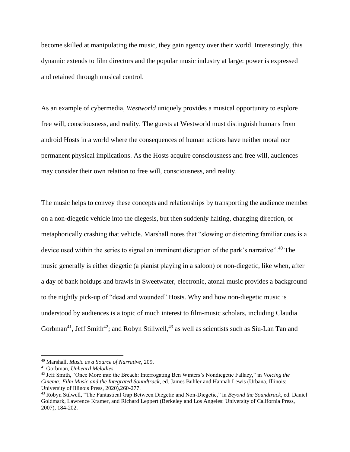become skilled at manipulating the music, they gain agency over their world. Interestingly, this dynamic extends to film directors and the popular music industry at large: power is expressed and retained through musical control.

As an example of cybermedia, *Westworld* uniquely provides a musical opportunity to explore free will, consciousness, and reality. The guests at Westworld must distinguish humans from android Hosts in a world where the consequences of human actions have neither moral nor permanent physical implications. As the Hosts acquire consciousness and free will, audiences may consider their own relation to free will, consciousness, and reality.

The music helps to convey these concepts and relationships by transporting the audience member on a non-diegetic vehicle into the diegesis, but then suddenly halting, changing direction, or metaphorically crashing that vehicle. Marshall notes that "slowing or distorting familiar cues is a device used within the series to signal an imminent disruption of the park's narrative".<sup>40</sup> The music generally is either diegetic (a pianist playing in a saloon) or non-diegetic, like when, after a day of bank holdups and brawls in Sweetwater, electronic, atonal music provides a background to the nightly pick-up of "dead and wounded" Hosts. Why and how non-diegetic music is understood by audiences is a topic of much interest to film-music scholars, including Claudia Gorbman<sup>41</sup>, Jeff Smith<sup>42</sup>; and Robyn Stillwell,<sup>43</sup> as well as scientists such as Siu-Lan Tan and

<sup>40</sup> Marshall, *Music as a Source of Narrative*, 209.

<sup>41</sup> Gorbman, *Unheard Melodies.*

<sup>42</sup> Jeff Smith, "Once More into the Breach: Interrogating Ben Winters's Nondiegetic Fallacy," in *Voicing the Cinema: Film Music and the Integrated Soundtrack*, ed. James Buhler and Hannah Lewis (Urbana, Illinois: University of Illinois Press, 2020),260-277.

<sup>43</sup> Robyn Stilwell, "The Fantastical Gap Between Diegetic and Non-Diegetic," in *Beyond the Soundtrack*, ed. Daniel Goldmark, Lawrence Kramer, and Richard Leppert (Berkeley and Los Angeles: University of California Press, 2007), 184-202.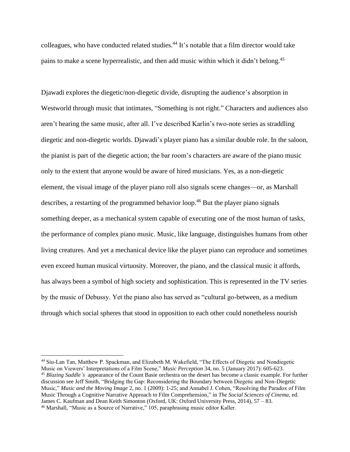colleagues, who have conducted related studies. <sup>44</sup> It's notable that a film director would take pains to make a scene hyperrealistic, and then add music within which it didn't belong.<sup>45</sup>

Djawadi explores the diegetic/non-diegetic divide, disrupting the audience's absorption in Westworld through music that intimates, "Something is not right." Characters and audiences also aren't hearing the same music, after all. I've described Karlin's two-note series as straddling diegetic and non-diegetic worlds. Djawadi's player piano has a similar double role. In the saloon, the pianist is part of the diegetic action; the bar room's characters are aware of the piano music only to the extent that anyone would be aware of hired musicians. Yes, as a non-diegetic element, the visual image of the player piano roll also signals scene changes—or, as Marshall describes, a restarting of the programmed behavior loop.<sup>46</sup> But the player piano signals something deeper, as a mechanical system capable of executing one of the most human of tasks, the performance of complex piano music. Music, like language, distinguishes humans from other living creatures. And yet a mechanical device like the player piano can reproduce and sometimes even exceed human musical virtuosity. Moreover, the piano, and the classical music it affords, has always been a symbol of high society and sophistication. This is represented in the TV series by the music of Debussy. Yet the piano also has served as "cultural go-between, as a medium through which social spheres that stood in opposition to each other could nonetheless nourish

<sup>44</sup> Siu-Lan Tan, Matthew P. Spackman, and Elizabeth M. Wakefield, "The Effects of Diegetic and Nondiegetic Music on Viewers' Interpretations of a Film Scene," *Music Perception* 34, no. 5 (January 2017): 605-623. <sup>45</sup> *Blazing Saddle's* appearance of the Count Basie orchestra on the desert has become a classic example. For further discussion see Jeff Smith, "Bridging the Gap: Reconsidering the Boundary between Diegetic and Non-Diegetic Music," *Music and the Moving Image* 2, no. 1 (2009): 1-25; and Annabel J. Cohen, "Resolving the Paradox of Film Music Through a Cognitive Narrative Approach to Film Comprehension," in *The Social Sciences of Cinema*, ed. James C. Kaufman and Dean Keith Simonton (Oxford, UK: Oxford University Press, 2014), 57 – 83. <sup>46</sup> Marshall, "Music as a Source of Narrative," 105, paraphrasing music editor Kaller.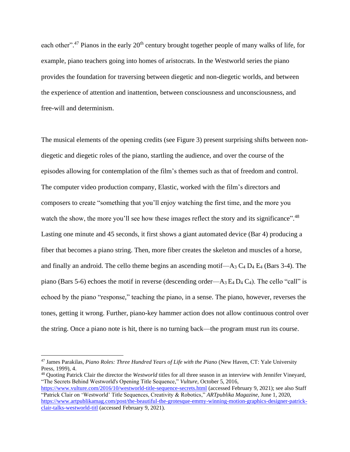each other".<sup>47</sup> Pianos in the early 20<sup>th</sup> century brought together people of many walks of life, for example, piano teachers going into homes of aristocrats. In the Westworld series the piano provides the foundation for traversing between diegetic and non-diegetic worlds, and between the experience of attention and inattention, between consciousness and unconsciousness, and free-will and determinism.

The musical elements of the opening credits (see Figure 3) present surprising shifts between nondiegetic and diegetic roles of the piano, startling the audience, and over the course of the episodes allowing for contemplation of the film's themes such as that of freedom and control. The computer video production company, Elastic, worked with the film's directors and composers to create "something that you'll enjoy watching the first time, and the more you watch the show, the more you'll see how these images reflect the story and its significance".<sup>48</sup> Lasting one minute and 45 seconds, it first shows a giant automated device (Bar 4) producing a fiber that becomes a piano string. Then, more fiber creates the skeleton and muscles of a horse, and finally an android. The cello theme begins an ascending motif— $A_3 C_4 D_4 E_4$  (Bars 3-4). The piano (Bars 5-6) echoes the motif in reverse (descending order—A<sub>3</sub> E<sub>4</sub> D<sub>4</sub> C<sub>4</sub>). The cello "call" is echoed by the piano "response," teaching the piano, in a sense. The piano, however, reverses the tones, getting it wrong. Further, piano-key hammer action does not allow continuous control over the string. Once a piano note is hit, there is no turning back—the program must run its course.

<sup>47</sup> James Parakilas, *Piano Roles: Three Hundred Years of Life with the Piano* (New Haven, CT: Yale University Press, 1999), 4.

<sup>48</sup> Quoting Patrick Clair the director the *Westworld* titles for all three season in an interview with Jennifer Vineyard, "The Secrets Behind Westworld's Opening Title Sequence," *Vulture,* October 5, 2016, <https://www.vulture.com/2016/10/westworld-title-sequence-secrets.html> (accessed February 9, 2021); see also Staff

<sup>&</sup>quot;Patrick Clair on 'Westworld' Title Sequences, Creativity & Robotics," *ARTpublika Magazine,* June 1, 2020, [https://www.artpublikamag.com/post/the-beautiful-the-grotesque-emmy-winning-motion-graphics-designer-patrick](https://www.artpublikamag.com/post/the-beautiful-the-grotesque-emmy-winning-motion-graphics-designer-patrick-clair-talks-westworld-titl)[clair-talks-westworld-titl](https://www.artpublikamag.com/post/the-beautiful-the-grotesque-emmy-winning-motion-graphics-designer-patrick-clair-talks-westworld-titl) (accessed February 9, 2021).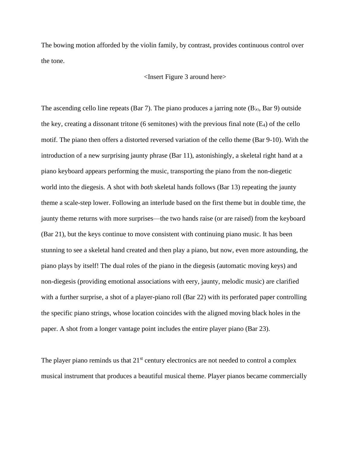The bowing motion afforded by the violin family, by contrast, provides continuous control over the tone.

### <Insert Figure 3 around here>

The ascending cello line repeats (Bar 7). The piano produces a jarring note (B<sub>b3</sub>, Bar 9) outside the key, creating a dissonant tritone (6 semitones) with the previous final note  $(E_4)$  of the cello motif. The piano then offers a distorted reversed variation of the cello theme (Bar 9-10). With the introduction of a new surprising jaunty phrase (Bar 11), astonishingly, a skeletal right hand at a piano keyboard appears performing the music, transporting the piano from the non-diegetic world into the diegesis. A shot with *both* skeletal hands follows (Bar 13) repeating the jaunty theme a scale-step lower. Following an interlude based on the first theme but in double time, the jaunty theme returns with more surprises—the two hands raise (or are raised) from the keyboard (Bar 21), but the keys continue to move consistent with continuing piano music. It has been stunning to see a skeletal hand created and then play a piano, but now, even more astounding, the piano plays by itself! The dual roles of the piano in the diegesis (automatic moving keys) and non-diegesis (providing emotional associations with eery, jaunty, melodic music) are clarified with a further surprise, a shot of a player-piano roll (Bar 22) with its perforated paper controlling the specific piano strings, whose location coincides with the aligned moving black holes in the paper. A shot from a longer vantage point includes the entire player piano (Bar 23).

The player piano reminds us that  $21<sup>st</sup>$  century electronics are not needed to control a complex musical instrument that produces a beautiful musical theme. Player pianos became commercially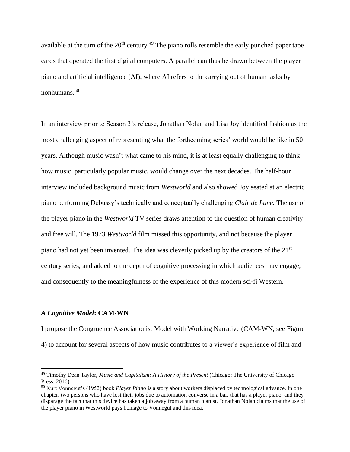available at the turn of the  $20<sup>th</sup>$  century.<sup>49</sup> The piano rolls resemble the early punched paper tape cards that operated the first digital computers. A parallel can thus be drawn between the player piano and artificial intelligence (AI), where AI refers to the carrying out of human tasks by nonhumans.<sup>50</sup>

In an interview prior to Season 3's release, Jonathan Nolan and Lisa Joy identified fashion as the most challenging aspect of representing what the forthcoming series' world would be like in 50 years. Although music wasn't what came to his mind, it is at least equally challenging to think how music, particularly popular music, would change over the next decades. The half-hour interview included background music from *Westworld* and also showed Joy seated at an electric piano performing Debussy's technically and conceptually challenging *Clair de Lune.* The use of the player piano in the *Westworld* TV series draws attention to the question of human creativity and free will. The 1973 *Westworld* film missed this opportunity, and not because the player piano had not yet been invented. The idea was cleverly picked up by the creators of the 21st century series, and added to the depth of cognitive processing in which audiences may engage, and consequently to the meaningfulness of the experience of this modern sci-fi Western.

#### *A Cognitive Model***: CAM-WN**

I propose the Congruence Associationist Model with Working Narrative (CAM-WN, see Figure 4) to account for several aspects of how music contributes to a viewer's experience of film and

<sup>49</sup> Timothy Dean Taylor, *Music and Capitalism: A History of the Present* (Chicago: The University of Chicago Press, 2016).

<sup>50</sup> Kurt Vonnegut's (1952) book *Player Piano* is a story about workers displaced by technological advance. In one chapter, two persons who have lost their jobs due to automation converse in a bar, that has a player piano, and they disparage the fact that this device has taken a job away from a human pianist. Jonathan Nolan claims that the use of the player piano in Westworld pays homage to Vonnegut and this idea.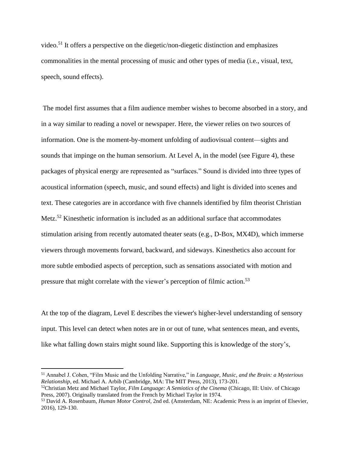video.<sup>51</sup> It offers a perspective on the diegetic/non-diegetic distinction and emphasizes commonalities in the mental processing of music and other types of media (i.e., visual, text, speech, sound effects).

The model first assumes that a film audience member wishes to become absorbed in a story, and in a way similar to reading a novel or newspaper. Here, the viewer relies on two sources of information. One is the moment-by-moment unfolding of audiovisual content—sights and sounds that impinge on the human sensorium. At Level A, in the model (see Figure 4), these packages of physical energy are represented as "surfaces." Sound is divided into three types of acoustical information (speech, music, and sound effects) and light is divided into scenes and text. These categories are in accordance with five channels identified by film theorist Christian Metz.<sup>52</sup> Kinesthetic information is included as an additional surface that accommodates stimulation arising from recently automated theater seats (e.g., D-Box, MX4D), which immerse viewers through movements forward, backward, and sideways. Kinesthetics also account for more subtle embodied aspects of perception, such as sensations associated with motion and pressure that might correlate with the viewer's perception of filmic action.<sup>53</sup>

At the top of the diagram, Level E describes the viewer's higher-level understanding of sensory input. This level can detect when notes are in or out of tune, what sentences mean, and events, like what falling down stairs might sound like. Supporting this is knowledge of the story's,

<sup>51</sup> Annabel J. Cohen, "Film Music and the Unfolding Narrative," in *Language, Music, and the Brain: a Mysterious Relationship*, ed. Michael A. Arbib (Cambridge, MA: The MIT Press, 2013), 173-201.

<sup>52</sup>Christian Metz and Michael Taylor, *Film Language: A Semiotics of the Cinema* (Chicago, Ill: Univ. of Chicago Press, 2007). Originally translated from the French by Michael Taylor in 1974.

<sup>53</sup> David A. Rosenbaum, *Human Motor Control*, 2nd ed. (Amsterdam, NE: Academic Press is an imprint of Elsevier, 2016), 129-130.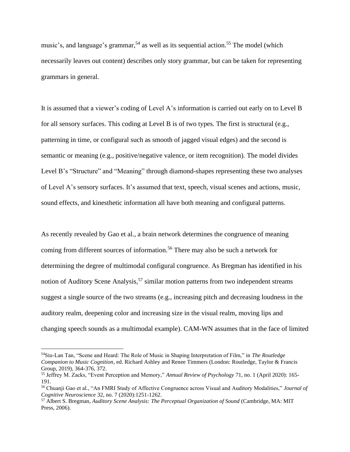music's, and language's grammar,<sup>54</sup> as well as its sequential action.<sup>55</sup> The model (which necessarily leaves out content) describes only story grammar, but can be taken for representing grammars in general.

It is assumed that a viewer's coding of Level A's information is carried out early on to Level B for all sensory surfaces. This coding at Level B is of two types. The first is structural (e.g., patterning in time, or configural such as smooth of jagged visual edges) and the second is semantic or meaning (e.g., positive/negative valence, or item recognition). The model divides Level B's "Structure" and "Meaning" through diamond-shapes representing these two analyses of Level A's sensory surfaces. It's assumed that text, speech, visual scenes and actions, music, sound effects, and kinesthetic information all have both meaning and configural patterns.

As recently revealed by Gao et al., a brain network determines the congruence of meaning coming from different sources of information. <sup>56</sup> There may also be such a network for determining the degree of multimodal configural congruence. As Bregman has identified in his notion of Auditory Scene Analysis,<sup>57</sup> similar motion patterns from two independent streams suggest a single source of the two streams (e.g., increasing pitch and decreasing loudness in the auditory realm, deepening color and increasing size in the visual realm, moving lips and changing speech sounds as a multimodal example). CAM-WN assumes that in the face of limited

<sup>54</sup>Siu-Lan Tan, "Scene and Heard: The Role of Music in Shaping Interpretation of Film," in *The Routledge Companion to Music Cognition*, ed. Richard Ashley and Renee Timmers (London: Routledge, Taylor & Francis Group, 2019), 364-376, 372.

<sup>55</sup> Jeffrey M. Zacks, "Event Perception and Memory," *Annual Review of Psychology* 71, no. 1 (April 2020): 165- 191.

<sup>56</sup> Chuanji Gao et al., "An FMRI Study of Affective Congruence across Visual and Auditory Modalities," *Journal of Cognitive Neuroscience* 32, no. 7 (2020):1251-1262.

<sup>57</sup> Albert S. Bregman, *Auditory Scene Analysis: The Perceptual Organization of Sound* (Cambridge, MA: MIT Press, 2006).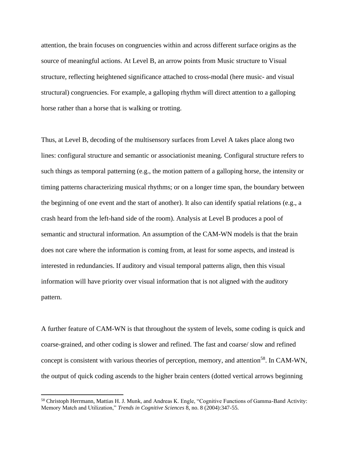attention, the brain focuses on congruencies within and across different surface origins as the source of meaningful actions. At Level B, an arrow points from Music structure to Visual structure, reflecting heightened significance attached to cross-modal (here music- and visual structural) congruencies. For example, a galloping rhythm will direct attention to a galloping horse rather than a horse that is walking or trotting.

Thus, at Level B, decoding of the multisensory surfaces from Level A takes place along two lines: configural structure and semantic or associationist meaning. Configural structure refers to such things as temporal patterning (e.g., the motion pattern of a galloping horse, the intensity or timing patterns characterizing musical rhythms; or on a longer time span, the boundary between the beginning of one event and the start of another). It also can identify spatial relations (e.g., a crash heard from the left-hand side of the room). Analysis at Level B produces a pool of semantic and structural information. An assumption of the CAM-WN models is that the brain does not care where the information is coming from, at least for some aspects, and instead is interested in redundancies. If auditory and visual temporal patterns align, then this visual information will have priority over visual information that is not aligned with the auditory pattern.

A further feature of CAM-WN is that throughout the system of levels, some coding is quick and coarse-grained, and other coding is slower and refined. The fast and coarse/ slow and refined concept is consistent with various theories of perception, memory, and attention<sup>58</sup>. In CAM-WN, the output of quick coding ascends to the higher brain centers (dotted vertical arrows beginning

<sup>58</sup> Christoph Herrmann, Mattias H. J. Munk, and Andreas K. Engle, "Cognitive Functions of Gamma-Band Activity: Memory Match and Utilization," *Trends in Cognitive Sciences* 8, no. 8 (2004):347-55.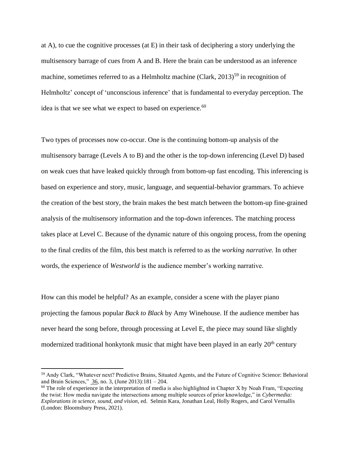at A), to cue the cognitive processes (at E) in their task of deciphering a story underlying the multisensory barrage of cues from A and B. Here the brain can be understood as an inference machine, sometimes referred to as a Helmholtz machine (Clark,  $2013$ )<sup>59</sup> in recognition of Helmholtz' concept of 'unconscious inference' that is fundamental to everyday perception. The idea is that we see what we expect to based on experience.<sup>60</sup>

Two types of processes now co-occur. One is the continuing bottom-up analysis of the multisensory barrage (Levels A to B) and the other is the top-down inferencing (Level D) based on weak cues that have leaked quickly through from bottom-up fast encoding. This inferencing is based on experience and story, music, language, and sequential-behavior grammars. To achieve the creation of the best story, the brain makes the best match between the bottom-up fine-grained analysis of the multisensory information and the top-down inferences. The matching process takes place at Level C. Because of the dynamic nature of this ongoing process, from the opening to the final credits of the film, this best match is referred to as the *working narrative.* In other words, the experience of *Westworld* is the audience member's working narrative.

How can this model be helpful? As an example, consider a scene with the player piano projecting the famous popular *Back to Black* by Amy Winehouse. If the audience member has never heard the song before, through processing at Level E, the piece may sound like slightly modernized traditional honkytonk music that might have been played in an early 20<sup>th</sup> century

<sup>59</sup> Andy Clark, "Whatever next? Predictive Brains, Situated Agents, and the Future of Cognitive Science: Behavioral and Brain Sciences," [36,](https://www.cambridge.org/core/journals/behavioral-and-brain-sciences/volume/DC0D031459C390BE267EDE20962505D1) no. 3, (June 2013):181 – 204.

 $60$  The role of experience in the interpretation of media is also highlighted in Chapter X by Noah Fram, "Expecting the twist: How media navigate the intersections among multiple sources of prior knowledge," in *Cybermedia: Explorations in science, sound, and vision*, ed. Selmin Kara, Jonathan Leal, Holly Rogers, and Carol Vernallis (London: Bloomsbury Press, 2021).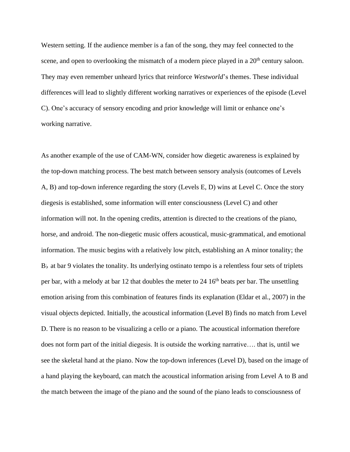Western setting. If the audience member is a fan of the song, they may feel connected to the scene, and open to overlooking the mismatch of a modern piece played in a  $20<sup>th</sup>$  century saloon. They may even remember unheard lyrics that reinforce *Westworld*'s themes. These individual differences will lead to slightly different working narratives or experiences of the episode (Level C). One's accuracy of sensory encoding and prior knowledge will limit or enhance one's working narrative.

As another example of the use of CAM-WN, consider how diegetic awareness is explained by the top-down matching process. The best match between sensory analysis (outcomes of Levels A, B) and top-down inference regarding the story (Levels E, D) wins at Level C. Once the story diegesis is established, some information will enter consciousness (Level C) and other information will not. In the opening credits, attention is directed to the creations of the piano, horse, and android. The non-diegetic music offers acoustical, music-grammatical, and emotional information. The music begins with a relatively low pitch, establishing an A minor tonality; the  $B<sub>b</sub>$  at bar 9 violates the tonality. Its underlying ostinato tempo is a relentless four sets of triplets per bar, with a melody at bar 12 that doubles the meter to 24  $16<sup>th</sup>$  beats per bar. The unsettling emotion arising from this combination of features finds its explanation (Eldar et al., 2007) in the visual objects depicted. Initially, the acoustical information (Level B) finds no match from Level D. There is no reason to be visualizing a cello or a piano. The acoustical information therefore does not form part of the initial diegesis. It is outside the working narrative…. that is, until we see the skeletal hand at the piano. Now the top-down inferences (Level D), based on the image of a hand playing the keyboard, can match the acoustical information arising from Level A to B and the match between the image of the piano and the sound of the piano leads to consciousness of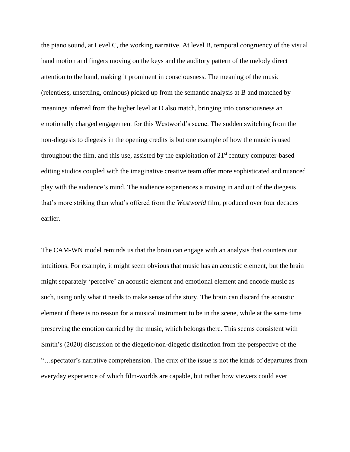the piano sound, at Level C, the working narrative. At level B, temporal congruency of the visual hand motion and fingers moving on the keys and the auditory pattern of the melody direct attention to the hand, making it prominent in consciousness. The meaning of the music (relentless, unsettling, ominous) picked up from the semantic analysis at B and matched by meanings inferred from the higher level at D also match, bringing into consciousness an emotionally charged engagement for this Westworld's scene. The sudden switching from the non-diegesis to diegesis in the opening credits is but one example of how the music is used throughout the film, and this use, assisted by the exploitation of  $21<sup>st</sup>$  century computer-based editing studios coupled with the imaginative creative team offer more sophisticated and nuanced play with the audience's mind. The audience experiences a moving in and out of the diegesis that's more striking than what's offered from the *Westworld* film, produced over four decades earlier.

The CAM-WN model reminds us that the brain can engage with an analysis that counters our intuitions. For example, it might seem obvious that music has an acoustic element, but the brain might separately 'perceive' an acoustic element and emotional element and encode music as such, using only what it needs to make sense of the story. The brain can discard the acoustic element if there is no reason for a musical instrument to be in the scene, while at the same time preserving the emotion carried by the music, which belongs there. This seems consistent with Smith's (2020) discussion of the diegetic/non-diegetic distinction from the perspective of the "…spectator's narrative comprehension. The crux of the issue is not the kinds of departures from everyday experience of which film-worlds are capable, but rather how viewers could ever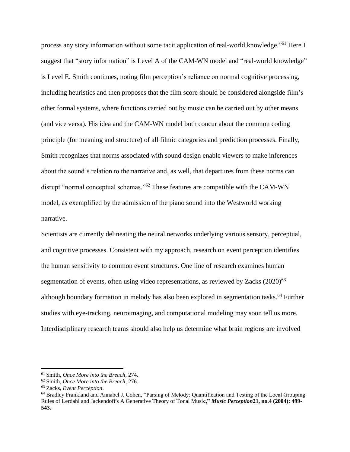process any story information without some tacit application of real-world knowledge."<sup>61</sup> Here I suggest that "story information" is Level A of the CAM-WN model and "real-world knowledge" is Level E. Smith continues, noting film perception's reliance on normal cognitive processing, including heuristics and then proposes that the film score should be considered alongside film's other formal systems, where functions carried out by music can be carried out by other means (and vice versa). His idea and the CAM-WN model both concur about the common coding principle (for meaning and structure) of all filmic categories and prediction processes. Finally, Smith recognizes that norms associated with sound design enable viewers to make inferences about the sound's relation to the narrative and, as well, that departures from these norms can disrupt "normal conceptual schemas."<sup>62</sup> These features are compatible with the CAM-WN model, as exemplified by the admission of the piano sound into the Westworld working narrative.

Scientists are currently delineating the neural networks underlying various sensory, perceptual, and cognitive processes. Consistent with my approach, research on event perception identifies the human sensitivity to common event structures. One line of research examines human segmentation of events, often using video representations, as reviewed by Zacks  $(2020)^{63}$ although boundary formation in melody has also been explored in segmentation tasks.<sup>64</sup> Further studies with eye-tracking, neuroimaging, and computational modeling may soon tell us more. Interdisciplinary research teams should also help us determine what brain regions are involved

<sup>61</sup> Smith, *Once More into the Breach*, 274.

<sup>62</sup> Smith, *Once More into the Breach*, 276.

<sup>63</sup> Zacks, *Event Perception*.

<sup>64</sup> Bradley Frankland and Annabel J. Cohen**,** "Parsing of Melody: Quantification and Testing of the Local Grouping Rules of Lerdahl and Jackendoff's A Generative Theory of Tonal Musi**c,"** *Music Perception***21, no.4 (2004): 499- 543.**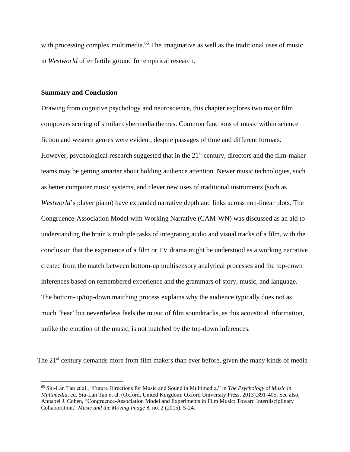with processing complex multimedia.<sup>65</sup> The imaginative as well as the traditional uses of music in *Westworld* offer fertile ground for empirical research.

### **Summary and Conclusion**

Drawing from cognitive psychology and neuroscience, this chapter explores two major film composers scoring of similar cybermedia themes. Common functions of music within science fiction and western genres were evident, despite passages of time and different formats. However, psychological research suggested that in the 21<sup>st</sup> century, directors and the film-maker teams may be getting smarter about holding audience attention. Newer music technologies, such as better computer music systems, and clever new uses of traditional instruments (such as *Westworld*'s player piano) have expanded narrative depth and links across non-linear plots. The Congruence-Association Model with Working Narrative (CAM-WN) was discussed as an aid to understanding the brain's multiple tasks of integrating audio and visual tracks of a film, with the conclusion that the experience of a film or TV drama might be understood as a working narrative created from the match between bottom-up multisensory analytical processes and the top-down inferences based on remembered experience and the grammars of story, music, and language. The bottom-up/top-down matching process explains why the audience typically does not as much 'hear' but nevertheless feels the music of film soundtracks, as this acoustical information, unlike the emotion of the music, is not matched by the top-down inferences.

The 21<sup>st</sup> century demands more from film makers than ever before, given the many kinds of media

<sup>65</sup> Siu-Lan Tan et al., "Future Directions for Music and Sound in Multimedia," in *The Psychology of Music in Multimedia*, ed. Siu-Lan Tan et al. (Oxford, United Kingdom: Oxford University Press, 2013),391-405. See also, Annabel J. Cohen, "Congruence-Association Model and Experiments in Film Music: Toward Interdisciplinary Collaboration," *Music and the Moving Image* 8, no. 2 (2015): 5-24.